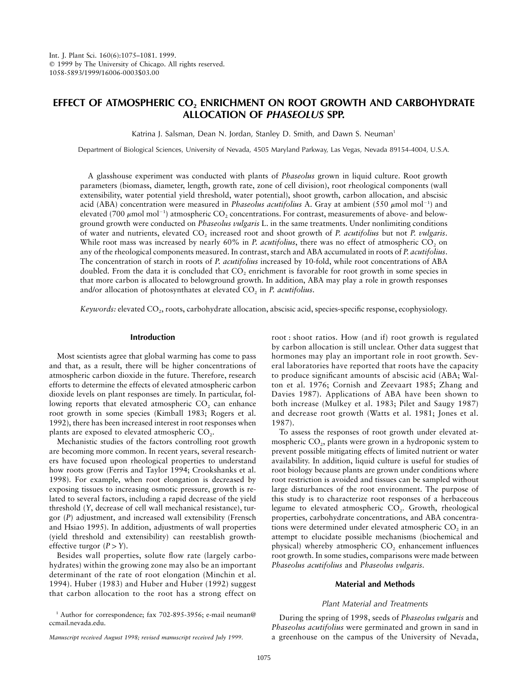# **EFFECT OF ATMOSPHERIC CO2 ENRICHMENT ON ROOT GROWTH AND CARBOHYDRATE ALLOCATION OF** *PHASEOLUS* **SPP.**

Katrina J. Salsman, Dean N. Jordan, Stanley D. Smith, and Dawn S. Neuman<sup>1</sup>

Department of Biological Sciences, University of Nevada, 4505 Maryland Parkway, Las Vegas, Nevada 89154-4004, U.S.A.

A glasshouse experiment was conducted with plants of *Phaseolus* grown in liquid culture. Root growth parameters (biomass, diameter, length, growth rate, zone of cell division), root rheological components (wall extensibility, water potential yield threshold, water potential), shoot growth, carbon allocation, and abscisic acid (ABA) concentration were measured in *Phaseolus acutifolius* A. Gray at ambient (550 µmol mol<sup>-1</sup>) and elevated (700  $\mu$ mol mol<sup>-1</sup>) atmospheric CO<sub>2</sub> concentrations. For contrast, measurements of above- and belowground growth were conducted on *Phaseolus vulgaris* L. in the same treatments. Under nonlimiting conditions of water and nutrients, elevated CO2 increased root and shoot growth of *P. acutifolius* but not *P. vulgaris*. While root mass was increased by nearly 60% in *P. acutifolius*, there was no effect of atmospheric CO<sub>2</sub> on any of the rheological components measured. In contrast, starch and ABA accumulated in roots of *P. acutifolius*. The concentration of starch in roots of *P. acutifolius* increased by 10-fold, while root concentrations of ABA doubled. From the data it is concluded that  $CO<sub>2</sub>$  enrichment is favorable for root growth in some species in that more carbon is allocated to belowground growth. In addition, ABA may play a role in growth responses and/or allocation of photosynthates at elevated CO<sub>2</sub> in *P. acutifolius*.

*Keywords:* elevated CO<sub>2</sub>, roots, carbohydrate allocation, abscisic acid, species-specific response, ecophysiology.

### **Introduction**

Most scientists agree that global warming has come to pass and that, as a result, there will be higher concentrations of atmospheric carbon dioxide in the future. Therefore, research efforts to determine the effects of elevated atmospheric carbon dioxide levels on plant responses are timely. In particular, following reports that elevated atmospheric  $CO<sub>2</sub>$  can enhance root growth in some species (Kimball 1983; Rogers et al. 1992), there has been increased interest in root responses when plants are exposed to elevated atmospheric CO<sub>2</sub>.

Mechanistic studies of the factors controlling root growth are becoming more common. In recent years, several researchers have focused upon rheological properties to understand how roots grow (Ferris and Taylor 1994; Crookshanks et al. 1998). For example, when root elongation is decreased by exposing tissues to increasing osmotic pressure, growth is related to several factors, including a rapid decrease of the yield threshold (*Y*, decrease of cell wall mechanical resistance), turgor (*P*) adjustment, and increased wall extensibility (Frensch and Hsiao 1995). In addition, adjustments of wall properties (yield threshold and extensibility) can reestablish growtheffective turgor  $(P > Y)$ .

Besides wall properties, solute flow rate (largely carbohydrates) within the growing zone may also be an important determinant of the rate of root elongation (Minchin et al. 1994). Huber (1983) and Huber and Huber (1992) suggest that carbon allocation to the root has a strong effect on

root : shoot ratios. How (and if) root growth is regulated by carbon allocation is still unclear. Other data suggest that hormones may play an important role in root growth. Several laboratories have reported that roots have the capacity to produce significant amounts of abscisic acid (ABA; Walton et al. 1976; Cornish and Zeevaart 1985; Zhang and Davies 1987). Applications of ABA have been shown to both increase (Mulkey et al. 1983; Pilet and Saugy 1987) and decrease root growth (Watts et al. 1981; Jones et al. 1987).

To assess the responses of root growth under elevated atmospheric  $CO<sub>2</sub>$ , plants were grown in a hydroponic system to prevent possible mitigating effects of limited nutrient or water availability. In addition, liquid culture is useful for studies of root biology because plants are grown under conditions where root restriction is avoided and tissues can be sampled without large disturbances of the root environment. The purpose of this study is to characterize root responses of a herbaceous legume to elevated atmospheric  $CO<sub>2</sub>$ . Growth, rheological properties, carbohydrate concentrations, and ABA concentrations were determined under elevated atmospheric CO<sub>2</sub> in an attempt to elucidate possible mechanisms (biochemical and physical) whereby atmospheric  $CO<sub>2</sub>$  enhancement influences root growth. In some studies, comparisons were made between *Phaseolus acutifolius* and *Phaseolus vulgaris*.

## **Material and Methods**

## *Plant Material and Treatments*

During the spring of 1998, seeds of *Phaseolus vulgaris* and *Phaseolus acutifolius* were germinated and grown in sand in a greenhouse on the campus of the University of Nevada,

<sup>&</sup>lt;sup>1</sup> Author for correspondence; fax 702-895-3956; e-mail neuman@ ccmail.nevada.edu.

*Manuscript received August 1998; revised manuscript received July 1999.*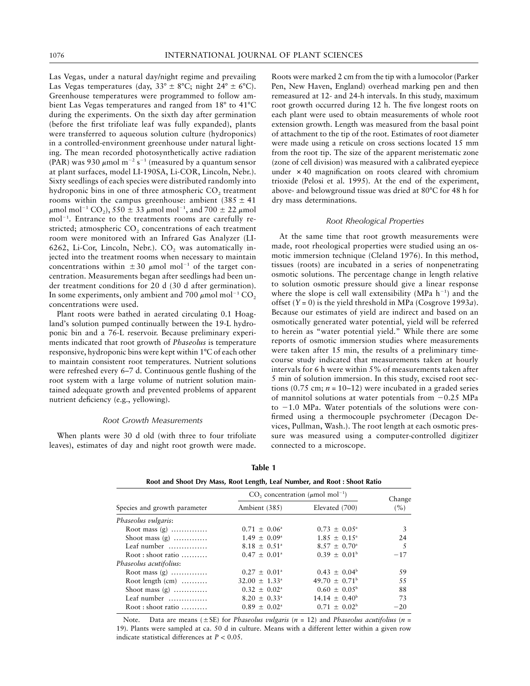Las Vegas, under a natural day/night regime and prevailing Las Vegas temperatures (day,  $33^{\circ} \pm 8^{\circ}$ C; night  $24^{\circ} \pm 6^{\circ}$ C). Greenhouse temperatures were programmed to follow ambient Las Vegas temperatures and ranged from  $18^{\circ}$  to  $41^{\circ}$ C during the experiments. On the sixth day after germination (before the first trifoliate leaf was fully expanded), plants were transferred to aqueous solution culture (hydroponics) in a controlled-environment greenhouse under natural lighting. The mean recorded photosynthetically active radiation (PAR) was 930  $\mu$ mol m<sup>-2</sup> s<sup>-1</sup> (measured by a quantum sensor at plant surfaces, model LI-190SA, Li-COR, Lincoln, Nebr.). Sixty seedlings of each species were distributed randomly into hydroponic bins in one of three atmospheric  $CO<sub>2</sub>$  treatment rooms within the campus greenhouse: ambient  $(385 \pm 41)$  $\mu$ mol mol<sup>-1</sup> CO<sub>2</sub>), 550  $\pm$  33  $\mu$ mol mol<sup>-1</sup>, and 700  $\pm$  22  $\mu$ mol mol<sup>-1</sup>. Entrance to the treatments rooms are carefully restricted; atmospheric  $CO<sub>2</sub>$  concentrations of each treatment room were monitored with an Infrared Gas Analyzer (LI-6262, Li-Cor, Lincoln, Nebr.).  $CO<sub>2</sub>$  was automatically injected into the treatment rooms when necessary to maintain concentrations within  $\pm 30 \mu$  mol mol<sup>-1</sup> of the target concentration. Measurements began after seedlings had been under treatment conditions for 20 d (30 d after germination). In some experiments, only ambient and 700  $\mu$ mol mol<sup>-1</sup> CO<sub>2</sub> concentrations were used.

Plant roots were bathed in aerated circulating 0.1 Hoagland's solution pumped continually between the 19-L hydroponic bin and a 76-L reservoir. Because preliminary experiments indicated that root growth of *Phaseolus* is temperature responsive, hydroponic bins were kept within 1°C of each other to maintain consistent root temperatures. Nutrient solutions were refreshed every 6–7 d. Continuous gentle flushing of the root system with a large volume of nutrient solution maintained adequate growth and prevented problems of apparent nutrient deficiency (e.g., yellowing).

## *Root Growth Measurements*

When plants were 30 d old (with three to four trifoliate leaves), estimates of day and night root growth were made.

Roots were marked 2 cm from the tip with a lumocolor(Parker Pen, New Haven, England) overhead marking pen and then remeasured at 12- and 24-h intervals. In this study, maximum root growth occurred during 12 h. The five longest roots on each plant were used to obtain measurements of whole root extension growth. Length was measured from the basal point of attachment to the tip of the root. Estimates of root diameter were made using a reticule on cross sections located 15 mm from the root tip. The size of the apparent meristematic zone (zone of cell division) was measured with a calibrated eyepiece under  $\times$  40 magnification on roots cleared with chromium trioxide (Pelosi et al. 1995). At the end of the experiment, above- and belowground tissue was dried at 80°C for 48 h for dry mass determinations.

#### *Root Rheological Properties*

At the same time that root growth measurements were made, root rheological properties were studied using an osmotic immersion technique (Cleland 1976). In this method, tissues (roots) are incubated in a series of nonpenetrating osmotic solutions. The percentage change in length relative to solution osmotic pressure should give a linear response where the slope is cell wall extensibility (MPa  $h^{-1}$ ) and the offset (*Y =* 0) is the yield threshold in MPa (Cosgrove 1993*a*). Because our estimates of yield are indirect and based on an osmotically generated water potential, yield will be referred to herein as "water potential yield." While there are some reports of osmotic immersion studies where measurements were taken after 15 min, the results of a preliminary timecourse study indicated that measurements taken at hourly intervals for 6 h were within 5% of measurements taken after 5 min of solution immersion. In this study, excised root sections (0.75 cm;  $n = 10-12$ ) were incubated in a graded series of mannitol solutions at water potentials from  $-0.25$  MPa to  $-1.0$  MPa. Water potentials of the solutions were confirmed using a thermocouple psychrometer (Decagon Devices, Pullman, Wash.). The root length at each osmotic pressure was measured using a computer-controlled digitizer connected to a microscope.

| ю<br>n |  |
|--------|--|
|--------|--|

| Root and Shoot Dry Mass, Root Length, Leaf Number, and Root : Shoot Ratio |                                                   |                          |       |
|---------------------------------------------------------------------------|---------------------------------------------------|--------------------------|-------|
| Species and growth parameter                                              | CO, concentration ( $\mu$ mol mol <sup>-1</sup> ) | Change                   |       |
|                                                                           | Ambient (385)                                     | Elevated (700)           | (%)   |
| Phaseolus vulgaris:                                                       |                                                   |                          |       |
| Root mass $(g)$                                                           | $0.71 \pm 0.06^{\circ}$                           | $0.73 \pm 0.05^{\circ}$  | 3     |
| Shoot mass $(g)$                                                          | $1.49 \pm 0.09^{\circ}$                           | $1.85 \pm 0.15^{\circ}$  | 24    |
| Leaf number                                                               | $8.18 \pm 0.51^{\circ}$                           | $8.57 + 0.70^{\circ}$    | .5    |
| $Root: shoot ratio$                                                       | $0.47 \pm 0.01^{\circ}$                           | $0.39 \pm 0.01^{\rm b}$  | $-17$ |
| Phaseolus acutifolius:                                                    |                                                   |                          |       |
| Root mass $(g)$                                                           | $0.27 \pm 0.01^{\circ}$                           | $0.43 \pm 0.04^b$        | 59    |
| Root length $(cm)$                                                        | $32.00 \pm 1.33^{\circ}$                          | $49.70 + 0.71^{\circ}$   | 55    |
| Shoot mass $(g)$                                                          | $0.32 \pm 0.02^{\circ}$                           | $0.60 \pm 0.05^{\rm b}$  | 88    |
| Leaf number                                                               | $8.20 \pm 0.33^{\circ}$                           | $14.14 \pm 0.40^{\circ}$ | 73    |
| $Root: shoot ratio$                                                       | $0.89 \pm 0.02^{\circ}$                           | $0.71 + 0.02^b$          | $-20$ |

Note. Data are means ( $\pm$ SE) for *Phaseolus vulgaris* ( $n = 12$ ) and *Phaseolus acutifolius* ( $n = 12$ ) 19). Plants were sampled at ca. 50 d in culture. Means with a different letter within a given row indicate statistical differences at  $P < 0.05$ .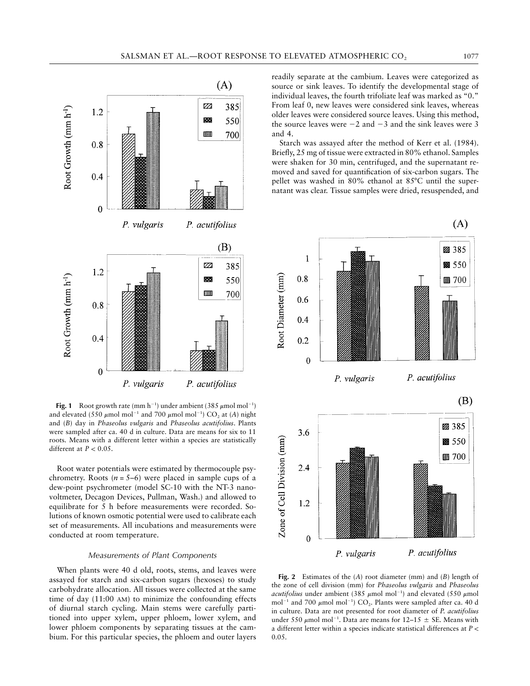

Fig. 1 Root growth rate (mm  $h^{-1}$ ) under ambient (385  $\mu$ mol mol<sup>-1</sup>) and elevated (550  $\mu$ mol mol<sup>-1</sup> and 700  $\mu$ mol mol<sup>-1</sup>) CO<sub>2</sub> at (*A*) night and (*B*) day in *Phaseolus vulgaris* and *Phaseolus acutifolius*. Plants were sampled after ca. 40 d in culture. Data are means for six to 11 roots. Means with a different letter within a species are statistically different at  $P < 0.05$ .

Root water potentials were estimated by thermocouple psychrometry. Roots  $(n = 5-6)$  were placed in sample cups of a dew-point psychrometer (model SC-10 with the NT-3 nanovoltmeter, Decagon Devices, Pullman, Wash.) and allowed to equilibrate for 5 h before measurements were recorded. Solutions of known osmotic potential were used to calibrate each set of measurements. All incubations and measurements were conducted at room temperature.

# *Measurements of Plant Components*

When plants were 40 d old, roots, stems, and leaves were assayed for starch and six-carbon sugars (hexoses) to study carbohydrate allocation. All tissues were collected at the same time of day (11:00 AM) to minimize the confounding effects of diurnal starch cycling. Main stems were carefully partitioned into upper xylem, upper phloem, lower xylem, and lower phloem components by separating tissues at the cambium. For this particular species, the phloem and outer layers

readily separate at the cambium. Leaves were categorized as source or sink leaves. To identify the developmental stage of individual leaves, the fourth trifoliate leaf was marked as "0." From leaf 0, new leaves were considered sink leaves, whereas older leaves were considered source leaves. Using this method, the source leaves were  $-2$  and  $-3$  and the sink leaves were 3 and 4.

Starch was assayed after the method of Kerr et al. (1984). Briefly, 25 mg of tissue were extracted in 80% ethanol. Samples were shaken for 30 min, centrifuged, and the supernatant removed and saved for quantification of six-carbon sugars. The pellet was washed in  $80\%$  ethanol at  $85^{\circ}$ C until the supernatant was clear. Tissue samples were dried, resuspended, and



**Fig. 2** Estimates of the (*A*) root diameter (mm) and (*B*) length of the zone of cell division (mm) for *Phaseolus vulgaris* and *Phaseolus acutifolius* under ambient (385  $\mu$ mol mol<sup>-1</sup>) and elevated (550  $\mu$ mol mol<sup>-1</sup> and 700  $\mu$ mol mol<sup>-1</sup>) CO<sub>2</sub>. Plants were sampled after ca. 40 d in culture. Data are not presented for root diameter of *P. acutifolius* under 550  $\mu$ mol mol<sup>-1</sup>. Data are means for 12–15  $\pm$  SE. Means with a different letter within a species indicate statistical differences at  $P <$ 0.05.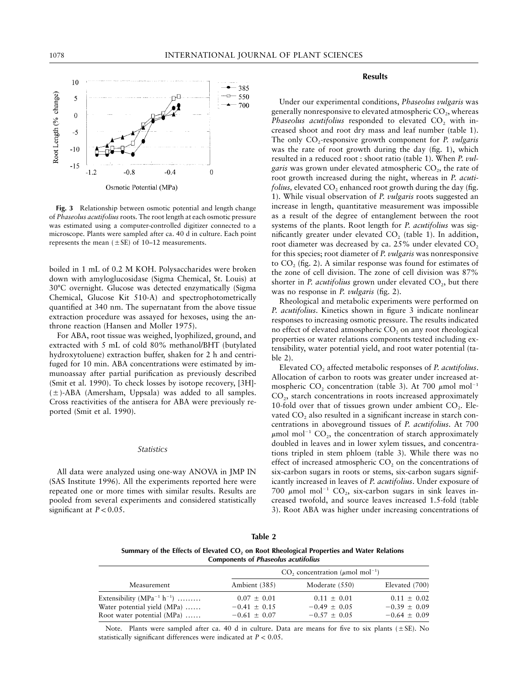

**Fig. 3** Relationship between osmotic potential and length change of *Phaseolus acutifolius* roots. The root length at each osmotic pressure was estimated using a computer-controlled digitizer connected to a microscope. Plants were sampled after ca. 40 d in culture. Each point represents the mean  $(\pm SE)$  of 10–12 measurements.

boiled in 1 mL of 0.2 M KOH. Polysaccharides were broken down with amyloglucosidase (Sigma Chemical, St. Louis) at 307C overnight. Glucose was detected enzymatically (Sigma Chemical, Glucose Kit 510-A) and spectrophotometrically quantified at 340 nm. The supernatant from the above tissue extraction procedure was assayed for hexoses, using the anthrone reaction (Hansen and Moller 1975).

For ABA, root tissue was weighed, lyophilized, ground, and extracted with 5 mL of cold 80% methanol/BHT (butylated hydroxytoluene) extraction buffer, shaken for 2 h and centrifuged for 10 min. ABA concentrations were estimated by immunoassay after partial purification as previously described (Smit et al. 1990). To check losses by isotope recovery, [3H]-  $(\pm)$ -ABA (Amersham, Uppsala) was added to all samples. Cross reactivities of the antisera for ABA were previously reported (Smit et al. 1990).

#### *Statistics*

All data were analyzed using one-way ANOVA in JMP IN (SAS Institute 1996). All the experiments reported here were repeated one or more times with similar results. Results are pooled from several experiments and considered statistically significant at  $P < 0.05$ .

# **Results**

Under our experimental conditions, *Phaseolus vulgaris* was generally nonresponsive to elevated atmospheric  $CO_2$ , whereas *Phaseolus acutifolius* responded to elevated CO<sub>2</sub> with increased shoot and root dry mass and leaf number (table 1). The only CO<sub>2</sub>-responsive growth component for *P. vulgaris* was the rate of root growth during the day (fig. 1), which resulted in a reduced root : shoot ratio (table 1). When *P. vulgaris* was grown under elevated atmospheric CO<sub>2</sub>, the rate of root growth increased during the night, whereas in *P. acutifolius, elevated CO<sub>2</sub>* enhanced root growth during the day (fig. 1). While visual observation of *P. vulgaris* roots suggested an increase in length, quantitative measurement was impossible as a result of the degree of entanglement between the root systems of the plants. Root length for *P. acutifolius* was significantly greater under elevated  $CO<sub>2</sub>$  (table 1). In addition, root diameter was decreased by ca. 25% under elevated CO<sub>2</sub> for this species; root diameter of *P. vulgaris* was nonresponsive to  $CO$ , (fig. 2). A similar response was found for estimates of the zone of cell division. The zone of cell division was 87% shorter in *P. acutifolius* grown under elevated  $CO<sub>2</sub>$ , but there was no response in *P. vulgaris* (fig. 2).

Rheological and metabolic experiments were performed on *P. acutifolius*. Kinetics shown in figure 3 indicate nonlinear responses to increasing osmotic pressure. The results indicated no effect of elevated atmospheric CO<sub>2</sub> on any root rheological properties or water relations components tested including extensibility, water potential yield, and root water potential (table 2).

Elevated CO2 affected metabolic responses of *P. acutifolius*. Allocation of carbon to roots was greater under increased atmospheric  $CO_2$  concentration (table 3). At 700  $\mu$ mol mol<sup>-1</sup>  $CO<sub>2</sub>$ , starch concentrations in roots increased approximately 10-fold over that of tissues grown under ambient  $CO<sub>2</sub>$ . Elevated  $CO<sub>2</sub>$  also resulted in a significant increase in starch concentrations in aboveground tissues of *P. acutifolius*. At 700  $\mu$ mol mol<sup>-1</sup> CO<sub>2</sub>, the concentration of starch approximately doubled in leaves and in lower xylem tissues, and concentrations tripled in stem phloem (table 3). While there was no effect of increased atmospheric  $CO<sub>2</sub>$  on the concentrations of six-carbon sugars in roots or stems, six-carbon sugars significantly increased in leaves of *P. acutifolius*. Under exposure of 700  $\mu$ mol mol<sup>-1</sup> CO<sub>2</sub>, six-carbon sugars in sink leaves increased twofold, and source leaves increased 1.5-fold (table 3). Root ABA was higher under increasing concentrations of

| Table 2 |  |  |
|---------|--|--|
|         |  |  |

**Summary of the Effects of Elevated CO2 on Root Rheological Properties and Water Relations Components of** *Phaseolus acutifolius*

|                                   |                  | CO <sub>2</sub> concentration ( $\mu$ mol mol <sup>-1</sup> ) |                  |
|-----------------------------------|------------------|---------------------------------------------------------------|------------------|
| Measurement                       | Ambient (385)    | Moderate (550)                                                | Elevated (700)   |
| Extensibility $(MPa^{-1} h^{-1})$ | $0.07 \pm 0.01$  | $0.11 \pm 0.01$                                               | $0.11 \pm 0.02$  |
| Water potential yield (MPa)       | $-0.41 \pm 0.15$ | $-0.49 + 0.05$                                                | $-0.39 + 0.09$   |
| Root water potential (MPa)        | $-0.61 \pm 0.07$ | $-0.57 + 0.05$                                                | $-0.64 \pm 0.09$ |

Note. Plants were sampled after ca. 40 d in culture. Data are means for five to six plants ( $\pm$ SE). No statistically significant differences were indicated at  $P < 0.05$ .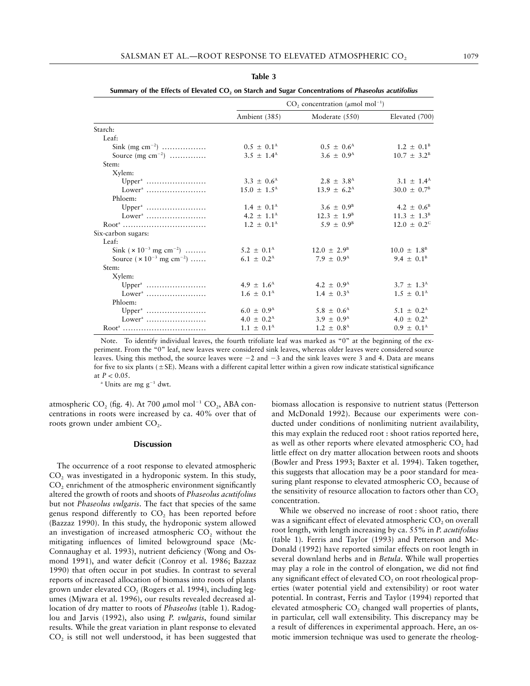| п<br>71 | m |  |  |
|---------|---|--|--|
|---------|---|--|--|

| Starch:<br>Leaf:                          | Ambient (385)              | Moderate (550)             | Elevated (700)             |
|-------------------------------------------|----------------------------|----------------------------|----------------------------|
|                                           |                            |                            |                            |
|                                           |                            |                            |                            |
|                                           |                            |                            |                            |
| Sink (mg cm <sup>-2</sup> )               | $0.5 \pm 0.1^{\text{A}}$   | $0.5 \pm 0.6^{\rm A}$      | $1.2 \pm 0.1^{\rm B}$      |
| Source $(mg cm^{-2})$                     | $3.5 \pm 1.4^{\text{A}}$   | $3.6 \pm 0.9^{\rm A}$      | $10.7 \pm 3.2^{\rm B}$     |
| Stem:                                     |                            |                            |                            |
| Xylem:                                    |                            |                            |                            |
|                                           | $3.3 \pm 0.6^{\rm A}$      | $2.8 \pm 3.8$ <sup>A</sup> | $3.1 \pm 1.4^{\text{A}}$   |
| $Lower^a$                                 | $15.0 \pm 1.5^{\text{A}}$  | $13.9 \pm 6.2^{\text{A}}$  | $30.0 \pm 0.7^{\rm B}$     |
| Phloem:                                   |                            |                            |                            |
|                                           | $1.4 \pm 0.1^{\text{A}}$   | $3.6 \pm 0.9^{\rm B}$      | 4.2 $\pm$ 0.6 <sup>B</sup> |
|                                           | 4.2 $\pm$ 1.1 <sup>A</sup> | $12.3 \pm 1.9^{\rm B}$     | $11.3 \pm 1.3^{\text{B}}$  |
| Root <sup>4</sup>                         | $1.2 \pm 0.1^{\text{A}}$   | $5.9 \pm 0.9^{\rm B}$      | $12.0 \pm 0.2^{\circ}$     |
| Six-carbon sugars:                        |                            |                            |                            |
| Leaf:                                     |                            |                            |                            |
| Sink $(x 10^{-3}$ mg cm <sup>-2</sup> )   | $5.2 \pm 0.1^{\text{A}}$   | $12.0 \pm 2.9^{\circ}$     | $10.0 \pm 1.8^{\circ}$     |
| Source $(x 10^{-3}$ mg cm <sup>-2</sup> ) | 6.1 $\pm$ 0.2 <sup>A</sup> | $7.9 + 0.9^{\text{A}}$     | 9.4 $\pm$ 0.1 <sup>B</sup> |
| Stem:                                     |                            |                            |                            |
| Xylem:                                    |                            |                            |                            |
| $Upper^a$                                 | $4.9 \pm 1.6^{\rm A}$      | 4.2 $\pm$ 0.9 <sup>A</sup> | $3.7 \pm 1.3^{\rm A}$      |
| $Lowera$                                  | $1.6 \pm 0.1^{\text{A}}$   | $1.4 \pm 0.3^{\rm A}$      | $1.5 \pm 0.1^{\text{A}}$   |
| Phloem:                                   |                            |                            |                            |
| $Upper^a$                                 | $6.0 \pm 0.9^{\rm A}$      | $5.8 \pm 0.6^{\rm A}$      | $5.1 \pm 0.2^{\rm A}$      |
|                                           | $4.0 \pm 0.2^{\rm A}$      | $3.9 \pm 0.9^{\rm A}$      | $4.0 \pm 0.2^{\text{A}}$   |
| Root <sup>a</sup>                         | $1.1 \pm 0.1^{\text{A}}$   | $1.2 \pm 0.8^{\text{A}}$   | $0.9 \pm 0.1^{\text{A}}$   |

**Summary of the Effects of Elevated CO2 on Starch and Sugar Concentrations of** *Phaseolus acutifolius*

Note. To identify individual leaves, the fourth trifoliate leaf was marked as "0" at the beginning of the experiment. From the "0" leaf, new leaves were considered sink leaves, whereas older leaves were considered source leaves. Using this method, the source leaves were  $-2$  and  $-3$  and the sink leaves were 3 and 4. Data are means for five to six plants ( $\pm$  SE). Means with a different capital letter within a given row indicate statistical significance at  $P < 0.05$ .

 $^{\circ}$  Units are mg g<sup>-1</sup> dwt.

atmospheric CO<sub>2</sub> (fig. 4). At 700  $\mu$ mol mol<sup>-1</sup> CO<sub>2</sub>, ABA concentrations in roots were increased by ca. 40% over that of roots grown under ambient CO<sub>2</sub>.

#### **Discussion**

The occurrence of a root response to elevated atmospheric  $CO<sub>2</sub>$  was investigated in a hydroponic system. In this study,  $CO<sub>2</sub>$  enrichment of the atmospheric environment significantly altered the growth of roots and shoots of *Phaseolus acutifolius* but not *Phaseolus vulgaris*. The fact that species of the same genus respond differently to  $CO<sub>2</sub>$  has been reported before (Bazzaz 1990). In this study, the hydroponic system allowed an investigation of increased atmospheric CO<sub>2</sub> without the mitigating influences of limited belowground space (Mc-Connaughay et al. 1993), nutrient deficiency (Wong and Osmond 1991), and water deficit (Conroy et al. 1986; Bazzaz 1990) that often occur in pot studies. In contrast to several reports of increased allocation of biomass into roots of plants grown under elevated  $CO<sub>2</sub>$  (Rogers et al. 1994), including legumes (Mjwara et al. 1996), our results revealed decreased allocation of dry matter to roots of *Phaseolus* (table 1). Radoglou and Jarvis (1992), also using *P. vulgaris*, found similar results. While the great variation in plant response to elevated  $CO<sub>2</sub>$  is still not well understood, it has been suggested that

biomass allocation is responsive to nutrient status (Petterson and McDonald 1992). Because our experiments were conducted under conditions of nonlimiting nutrient availability, this may explain the reduced root : shoot ratios reported here, as well as other reports where elevated atmospheric  $CO<sub>2</sub>$  had little effect on dry matter allocation between roots and shoots (Bowler and Press 1993; Baxter et al. 1994). Taken together, this suggests that allocation may be a poor standard for measuring plant response to elevated atmospheric  $CO<sub>2</sub>$  because of the sensitivity of resource allocation to factors other than  $CO<sub>2</sub>$ concentration.

While we observed no increase of root : shoot ratio, there was a significant effect of elevated atmospheric  $CO<sub>2</sub>$  on overall root length, with length increasing by ca. 55% in *P. acutifolius* (table 1). Ferris and Taylor (1993) and Petterson and Mc-Donald (1992) have reported similar effects on root length in several downland herbs and in *Betula*. While wall properties may play a role in the control of elongation, we did not find any significant effect of elevated CO<sub>2</sub> on root rheological properties (water potential yield and extensibility) or root water potential. In contrast, Ferris and Taylor (1994) reported that elevated atmospheric  $CO<sub>2</sub>$  changed wall properties of plants, in particular, cell wall extensibility. This discrepancy may be a result of differences in experimental approach. Here, an osmotic immersion technique was used to generate the rheolog-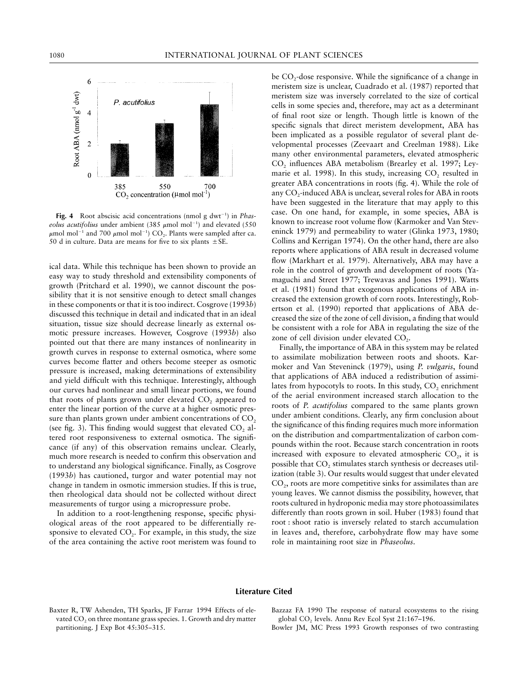

Fig. 4 Root abscisic acid concentrations (nmol g dwt<sup>-1</sup>) in *Phas*eolus acutifolius under ambient (385  $\mu$ mol mol<sup>-1</sup>) and elevated (550  $\mu$ mol mol<sup>-1</sup> and 700  $\mu$ mol mol<sup>-1</sup>) CO<sub>2</sub>. Plants were sampled after ca. 50 d in culture. Data are means for five to six plants  $\pm$  SE.

ical data. While this technique has been shown to provide an easy way to study threshold and extensibility components of growth (Pritchard et al. 1990), we cannot discount the possibility that it is not sensitive enough to detect small changes in these components or that it is too indirect. Cosgrove (1993*b*) discussed this technique in detail and indicated that in an ideal situation, tissue size should decrease linearly as external osmotic pressure increases. However, Cosgrove (1993*b*) also pointed out that there are many instances of nonlinearity in growth curves in response to external osmotica, where some curves become flatter and others become steeper as osmotic pressure is increased, making determinations of extensibility and yield difficult with this technique. Interestingly, although our curves had nonlinear and small linear portions, we found that roots of plants grown under elevated  $CO<sub>2</sub>$  appeared to enter the linear portion of the curve at a higher osmotic pressure than plants grown under ambient concentrations of  $CO<sub>2</sub>$ (see fig. 3). This finding would suggest that elevated  $CO<sub>2</sub>$  altered root responsiveness to external osmotica. The significance (if any) of this observation remains unclear. Clearly, much more research is needed to confirm this observation and to understand any biological significance. Finally, as Cosgrove (1993*b*) has cautioned, turgor and water potential may not change in tandem in osmotic immersion studies. If this is true, then rheological data should not be collected without direct measurements of turgor using a micropressure probe.

In addition to a root-lengthening response, specific physiological areas of the root appeared to be differentially responsive to elevated  $CO<sub>2</sub>$ . For example, in this study, the size of the area containing the active root meristem was found to be  $CO<sub>2</sub>$ -dose responsive. While the significance of a change in meristem size is unclear, Cuadrado et al. (1987) reported that meristem size was inversely correlated to the size of cortical cells in some species and, therefore, may act as a determinant of final root size or length. Though little is known of the specific signals that direct meristem development, ABA has been implicated as a possible regulator of several plant developmental processes (Zeevaart and Creelman 1988). Like many other environmental parameters, elevated atmospheric  $CO<sub>2</sub>$  influences ABA metabolism (Brearley et al. 1997; Leymarie et al. 1998). In this study, increasing CO<sub>2</sub> resulted in greater ABA concentrations in roots (fig. 4). While the role of any CO<sub>2</sub>-induced ABA is unclear, several roles for ABA in roots have been suggested in the literature that may apply to this case. On one hand, for example, in some species, ABA is known to increase root volume flow (Karmoker and Van Steveninck 1979) and permeability to water (Glinka 1973, 1980; Collins and Kerrigan 1974). On the other hand, there are also reports where applications of ABA result in decreased volume flow (Markhart et al. 1979). Alternatively, ABA may have a role in the control of growth and development of roots (Yamaguchi and Street 1977; Trewavas and Jones 1991). Watts et al. (1981) found that exogenous applications of ABA increased the extension growth of corn roots. Interestingly, Robertson et al. (1990) reported that applications of ABA decreased the size of the zone of cell division, a finding that would be consistent with a role for ABA in regulating the size of the zone of cell division under elevated  $CO<sub>2</sub>$ .

Finally, the importance of ABA in this system may be related to assimilate mobilization between roots and shoots. Karmoker and Van Steveninck (1979), using *P. vulgaris*, found that applications of ABA induced a redistribution of assimilates from hypocotyls to roots. In this study,  $CO<sub>2</sub>$  enrichment of the aerial environment increased starch allocation to the roots of *P. acutifolius* compared to the same plants grown under ambient conditions. Clearly, any firm conclusion about the significance of this finding requires much more information on the distribution and compartmentalization of carbon compounds within the root. Because starch concentration in roots increased with exposure to elevated atmospheric  $CO<sub>2</sub>$ , it is possible that CO<sub>2</sub> stimulates starch synthesis or decreases utilization (table 3). Our results would suggest that under elevated  $CO<sub>2</sub>$ , roots are more competitive sinks for assimilates than are young leaves. We cannot dismiss the possibility, however, that roots cultured in hydroponic media may store photoassimilates differently than roots grown in soil. Huber (1983) found that root : shoot ratio is inversely related to starch accumulation in leaves and, therefore, carbohydrate flow may have some role in maintaining root size in *Phaseolus*.

# **Literature Cited**

Baxter R, TW Ashenden, TH Sparks, JF Farrar 1994 Effects of elevated  $CO<sub>2</sub>$  on three montane grass species. 1. Growth and dry matter partitioning. J Exp Bot 45:305–315.

Bazzaz FA 1990 The response of natural ecosystems to the rising global CO<sub>2</sub> levels. Annu Rev Ecol Syst 21:167-196.

Bowler JM, MC Press 1993 Growth responses of two contrasting